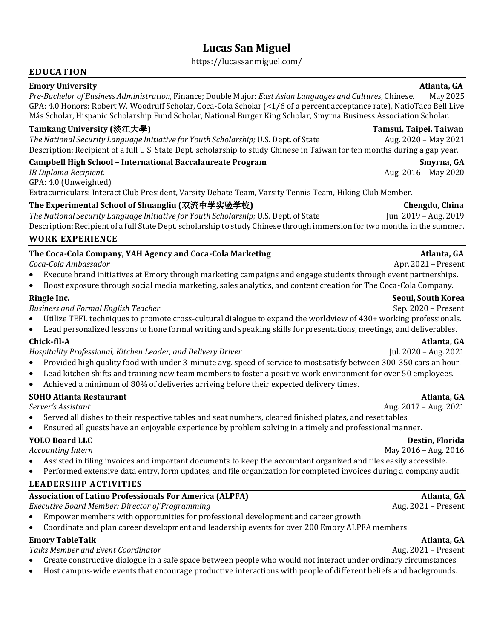# **Lucas San Miguel**

https://lucassanmiguel.com/

### **EDUCATION**

### **Emory University Atlanta, GA**

*Pre-Bachelor of Business Administration,* Finance; Double Major: *East Asian Languages and Cultures*, Chinese. May 2025 GPA: 4.0 Honors: Robert W. Woodruff Scholar, Coca-Cola Scholar (<1/6 of a percent acceptance rate), NatioTaco Bell Live Más Scholar, Hispanic Scholarship Fund Scholar, National Burger King Scholar, Smyrna Business Association Scholar.

### **Tamkang University (**淡江大學**) Tamsui, Taipei, Taiwan**

*The National Security Language Initiative for Youth Scholarship;* U.S. Dept. of State Aug. 2020 – May 2021 Description: Recipient of a full U.S. State Dept. scholarship to study Chinese in Taiwan for ten months during a gap year.

### **Campbell High School – International Baccalaureate Program Smyrna, GA**

*IB Diploma Recipient.* Aug. 2016 – May 2020 GPA: 4.0 (Unweighted) Extracurriculars: Interact Club President, Varsity Debate Team, Varsity Tennis Team, Hiking Club Member.

### **The Experimental School of Shuangliu (**双流中学实验学校**) Chengdu, China**

*The National Security Language Initiative for Youth Scholarship;* U.S. Dept. of State Jun. 2019 – Aug. 2019 Description: Recipient of a full State Dept. scholarship to study Chinese through immersion for two months in the summer.

### **WORK EXPERIENCE**

### **The Coca-Cola Company, YAH Agency and Coca-Cola Marketing Atlanta, GA**

*Coca-Cola Ambassador* Apr. 2021 – Present

- Execute brand initiatives at Emory through marketing campaigns and engage students through event partnerships.
- Boost exposure through social media marketing, sales analytics, and content creation for The Coca-Cola Company.

*Business and Formal English Teacher* **Sep. 2020** – Present **Sep. 2020** – Present

- Utilize TEFL techniques to promote cross-cultural dialogue to expand the worldview of 430+ working professionals.
- Lead personalized lessons to hone formal writing and speaking skills for presentations, meetings, and deliverables.

*Hospitality Professional, Kitchen Leader, and Delivery Driver* Jul. 2020 – Aug. 2021

- Provided high quality food with under 3-minute avg. speed of service to most satisfy between 300-350 cars an hour.
- Lead kitchen shifts and training new team members to foster a positive work environment for over 50 employees.
- Achieved a minimum of 80% of deliveries arriving before their expected delivery times.

# **SOHO Atlanta Restaurant Atlanta, GA**

- Served all dishes to their respective tables and seat numbers, cleared finished plates, and reset tables.
- Ensured all guests have an enjoyable experience by problem solving in a timely and professional manner.

# **YOLO Board LLC Destin, Florida**

- Assisted in filing invoices and important documents to keep the accountant organized and files easily accessible.
- Performed extensive data entry, form updates, and file organization for completed invoices during a company audit.

# **LEADERSHIP ACTIVITIES**

# **Association of Latino Professionals For America (ALPFA) Atlanta, GA**

*Executive Board Member: Director of Programming* **Aug. 2021** – Present

- Empower members with opportunities for professional development and career growth.
- Coordinate and plan career development and leadership events for over 200 Emory ALPFA members.

# **Emory TableTalk Atlanta, GA**

# *Talks Member and Event Coordinator* Aug. 2021 – Present

- Create constructive dialogue in a safe space between people who would not interact under ordinary circumstances.
- Host campus-wide events that encourage productive interactions with people of different beliefs and backgrounds.

# **Ringle Inc. Seoul, South Korea**

# **Chick-fil-A Atlanta, GA**

### *Server's Assistant* Aug. 2017 – Aug. 2021

Accounting Intern **May 2016** – Aug. 2016